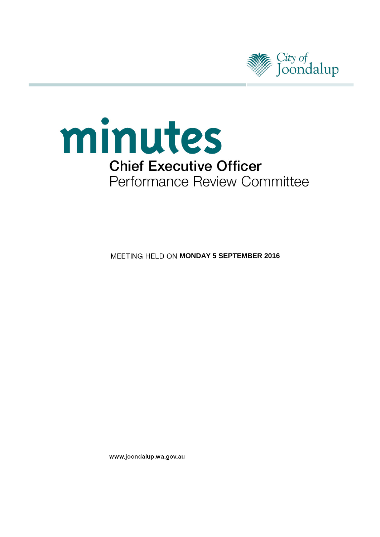



**MEETING HELD ON MONDAY 5 SEPTEMBER 2016** 

www.joondalup.wa.gov.au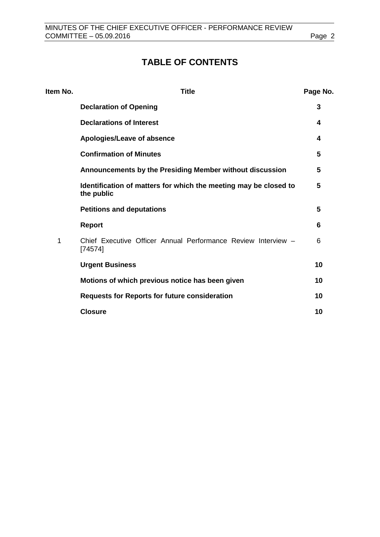# **TABLE OF CONTENTS**

| Item No. | <b>Title</b>                                                                   | Page No. |
|----------|--------------------------------------------------------------------------------|----------|
|          | <b>Declaration of Opening</b>                                                  | 3        |
|          | <b>Declarations of Interest</b>                                                | 4        |
|          | Apologies/Leave of absence                                                     | 4        |
|          | <b>Confirmation of Minutes</b>                                                 | 5        |
|          | Announcements by the Presiding Member without discussion                       | 5        |
|          | Identification of matters for which the meeting may be closed to<br>the public | 5        |
|          | <b>Petitions and deputations</b>                                               | 5        |
|          | <b>Report</b>                                                                  | 6        |
| 1        | Chief Executive Officer Annual Performance Review Interview -<br>[74574]       | 6        |
|          | <b>Urgent Business</b>                                                         | 10       |
|          | Motions of which previous notice has been given                                | 10       |
|          | <b>Requests for Reports for future consideration</b>                           | 10       |
|          | <b>Closure</b>                                                                 | 10       |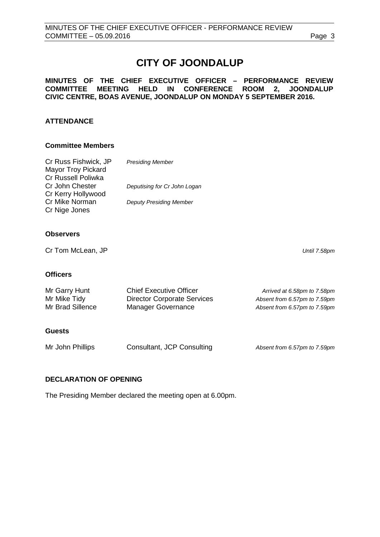# **CITY OF JOONDALUP**

#### **MINUTES OF THE CHIEF EXECUTIVE OFFICER – PERFORMANCE REVIEW COMMITTEE MEETING HELD IN CONFERENCE ROOM 2, JOONDALUP CIVIC CENTRE, BOAS AVENUE, JOONDALUP ON MONDAY 5 SEPTEMBER 2016.**

#### **ATTENDANCE**

#### **Committee Members**

| <b>Presiding Member</b>        |
|--------------------------------|
|                                |
|                                |
| Deputising for Cr John Logan   |
|                                |
| <b>Deputy Presiding Member</b> |
|                                |
|                                |

#### **Observers**

Cr Tom McLean, JP *Until 7.58pm*

**Officers**

| Mr Garry Hunt    | <b>Chief Executive Officer</b>     | Arrived at 6.58pm to 7.58pm  |
|------------------|------------------------------------|------------------------------|
| Mr Mike Tidy     | <b>Director Corporate Services</b> | Absent from 6.57pm to 7.59pm |
| Mr Brad Sillence | Manager Governance                 | Absent from 6.57pm to 7.59pm |

#### **Guests**

| Mr John Phillips | Consultant, JCP Consulting | Absent from 6.57pm to 7.59pm |
|------------------|----------------------------|------------------------------|
|                  |                            |                              |

## <span id="page-2-0"></span>**DECLARATION OF OPENING**

The Presiding Member declared the meeting open at 6.00pm.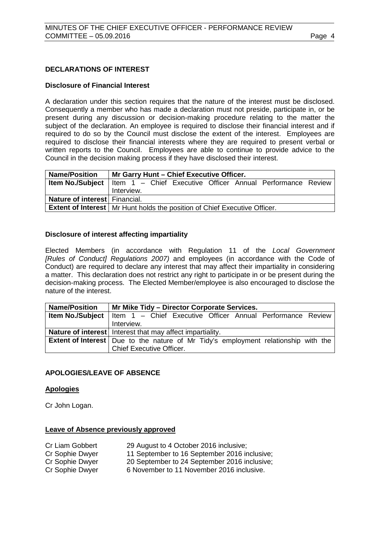#### <span id="page-3-0"></span>**DECLARATIONS OF INTEREST**

#### **Disclosure of Financial Interest**

A declaration under this section requires that the nature of the interest must be disclosed. Consequently a member who has made a declaration must not preside, participate in, or be present during any discussion or decision-making procedure relating to the matter the subject of the declaration. An employee is required to disclose their financial interest and if required to do so by the Council must disclose the extent of the interest. Employees are required to disclose their financial interests where they are required to present verbal or written reports to the Council. Employees are able to continue to provide advice to the Council in the decision making process if they have disclosed their interest.

| <b>Name/Position</b>          | Mr Garry Hunt - Chief Executive Officer.                                               |  |  |
|-------------------------------|----------------------------------------------------------------------------------------|--|--|
|                               | <b>Item No./Subject</b>   Item $1 -$ Chief Executive Officer Annual Performance Review |  |  |
|                               | Interview.                                                                             |  |  |
| Nature of interest Financial. |                                                                                        |  |  |
|                               | <b>Extent of Interest</b>   Mr Hunt holds the position of Chief Executive Officer.     |  |  |

#### **Disclosure of interest affecting impartiality**

Elected Members (in accordance with Regulation 11 of the *Local Government [Rules of Conduct] Regulations 2007)* and employees (in accordance with the Code of Conduct) are required to declare any interest that may affect their impartiality in considering a matter. This declaration does not restrict any right to participate in or be present during the decision-making process. The Elected Member/employee is also encouraged to disclose the nature of the interest.

| <b>Name/Position</b> | Mr Mike Tidy - Director Corporate Services.                                                 |  |  |
|----------------------|---------------------------------------------------------------------------------------------|--|--|
|                      | <b>Item No./Subject</b>   Item 1 - Chief Executive Officer Annual Performance Review        |  |  |
|                      | Interview.                                                                                  |  |  |
|                      | <b>Nature of interest</b> Interest that may affect impartiality.                            |  |  |
|                      | <b>Extent of Interest</b>   Due to the nature of Mr Tidy's employment relationship with the |  |  |
|                      | <b>Chief Executive Officer.</b>                                                             |  |  |

#### <span id="page-3-1"></span>**APOLOGIES/LEAVE OF ABSENCE**

#### **Apologies**

Cr John Logan.

#### **Leave of Absence previously approved**

| Cr Liam Gobbert | 29 August to 4 October 2016 inclusive;       |
|-----------------|----------------------------------------------|
| Cr Sophie Dwyer | 11 September to 16 September 2016 inclusive; |
| Cr Sophie Dwyer | 20 September to 24 September 2016 inclusive; |
| Cr Sophie Dwyer | 6 November to 11 November 2016 inclusive.    |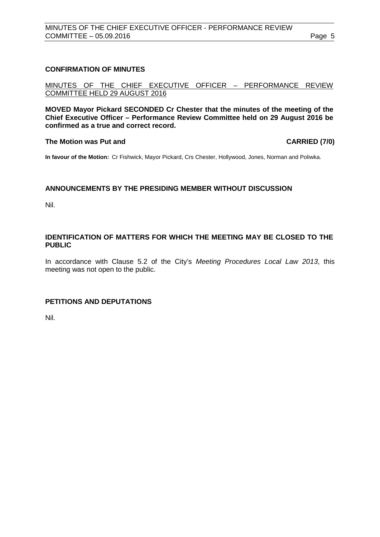### <span id="page-4-0"></span>**CONFIRMATION OF MINUTES**

MINUTES OF THE CHIEF EXECUTIVE OFFICER – PERFORMANCE REVIEW COMMITTEE HELD 29 AUGUST 2016

**MOVED Mayor Pickard SECONDED Cr Chester that the minutes of the meeting of the Chief Executive Officer – Performance Review Committee held on 29 August 2016 be confirmed as a true and correct record.**

#### **The Motion was Put and CARRIED (7/0)**

**In favour of the Motion:** Cr Fishwick, Mayor Pickard, Crs Chester, Hollywood, Jones, Norman and Poliwka.

#### <span id="page-4-1"></span>**ANNOUNCEMENTS BY THE PRESIDING MEMBER WITHOUT DISCUSSION**

Nil.

#### <span id="page-4-2"></span>**IDENTIFICATION OF MATTERS FOR WHICH THE MEETING MAY BE CLOSED TO THE PUBLIC**

In accordance with Clause 5.2 of the City's *Meeting Procedures Local Law 2013*, this meeting was not open to the public.

#### <span id="page-4-3"></span>**PETITIONS AND DEPUTATIONS**

Nil.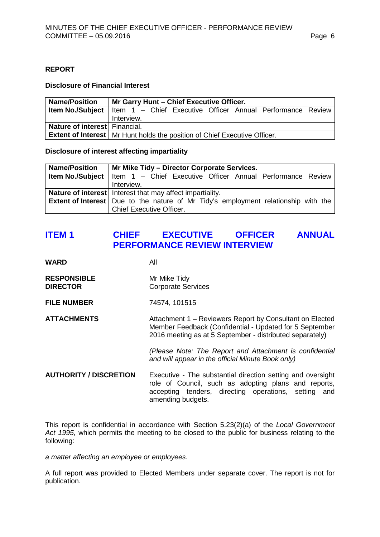#### <span id="page-5-0"></span>**REPORT**

#### **Disclosure of Financial Interest**

| <b>Name/Position</b>          | Mr Garry Hunt - Chief Executive Officer.                                               |  |  |
|-------------------------------|----------------------------------------------------------------------------------------|--|--|
|                               | <b>Item No./Subject</b>   Item $1 -$ Chief Executive Officer Annual Performance Review |  |  |
|                               | Interview.                                                                             |  |  |
| Nature of interest Financial. |                                                                                        |  |  |
|                               | <b>Extent of Interest</b>   Mr Hunt holds the position of Chief Executive Officer.     |  |  |

#### **Disclosure of interest affecting impartiality**

| <b>Name/Position</b> | Mr Mike Tidy – Director Corporate Services.                                                 |
|----------------------|---------------------------------------------------------------------------------------------|
|                      | <b>Item No./Subject</b>   Item $1 -$ Chief Executive Officer Annual Performance Review      |
|                      | Interview.                                                                                  |
|                      | Nature of interest   Interest that may affect impartiality.                                 |
|                      | <b>Extent of Interest</b>   Due to the nature of Mr Tidy's employment relationship with the |
|                      | <b>Chief Executive Officer.</b>                                                             |

## <span id="page-5-1"></span>**ITEM 1 CHIEF EXECUTIVE OFFICER ANNUAL PERFORMANCE REVIEW INTERVIEW**

| WARD                                  | All                                                                                                                                                                                              |
|---------------------------------------|--------------------------------------------------------------------------------------------------------------------------------------------------------------------------------------------------|
| <b>RESPONSIBLE</b><br><b>DIRECTOR</b> | Mr Mike Tidy<br><b>Corporate Services</b>                                                                                                                                                        |
| <b>FILE NUMBER</b>                    | 74574, 101515                                                                                                                                                                                    |
| <b>ATTACHMENTS</b>                    | Attachment 1 – Reviewers Report by Consultant on Elected<br>Member Feedback (Confidential - Updated for 5 September<br>2016 meeting as at 5 September - distributed separately)                  |
|                                       | (Please Note: The Report and Attachment is confidential<br>and will appear in the official Minute Book only)                                                                                     |
| <b>AUTHORITY / DISCRETION</b>         | Executive - The substantial direction setting and oversight<br>role of Council, such as adopting plans and reports,<br>accepting tenders, directing operations, setting and<br>amending budgets. |

This report is confidential in accordance with Section 5.23(2)(a) of the *Local Government Act 1995*, which permits the meeting to be closed to the public for business relating to the following:

*a matter affecting an employee or employees.*

A full report was provided to Elected Members under separate cover. The report is not for publication.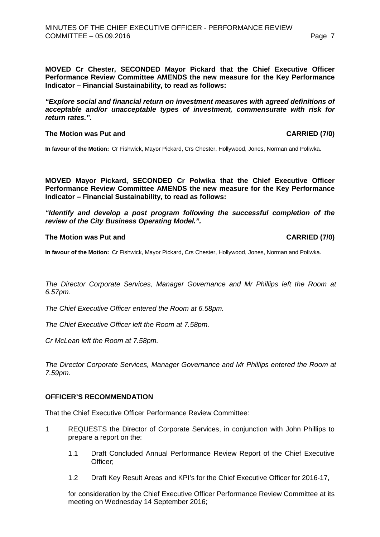**MOVED Cr Chester, SECONDED Mayor Pickard that the Chief Executive Officer Performance Review Committee AMENDS the new measure for the Key Performance Indicator – Financial Sustainability, to read as follows:**

*"Explore social and financial return on investment measures with agreed definitions of acceptable and/or unacceptable types of investment, commensurate with risk for return rates.".*

#### **The Motion was Put and CARRIED (7/0)**

**In favour of the Motion:** Cr Fishwick, Mayor Pickard, Crs Chester, Hollywood, Jones, Norman and Poliwka.

**MOVED Mayor Pickard, SECONDED Cr Polwika that the Chief Executive Officer Performance Review Committee AMENDS the new measure for the Key Performance Indicator – Financial Sustainability, to read as follows:**

*"Identify and develop a post program following the successful completion of the review of the City Business Operating Model.".*

#### **The Motion was Put and CARRIED (7/0)**

**In favour of the Motion:** Cr Fishwick, Mayor Pickard, Crs Chester, Hollywood, Jones, Norman and Poliwka.

*The Director Corporate Services, Manager Governance and Mr Phillips left the Room at 6.57pm.*

*The Chief Executive Officer entered the Room at 6.58pm.*

*The Chief Executive Officer left the Room at 7.58pm.*

*Cr McLean left the Room at 7.58pm.*

*The Director Corporate Services, Manager Governance and Mr Phillips entered the Room at 7.59pm.*

#### **OFFICER'S RECOMMENDATION**

That the Chief Executive Officer Performance Review Committee:

- 1 REQUESTS the Director of Corporate Services, in conjunction with John Phillips to prepare a report on the:
	- 1.1 Draft Concluded Annual Performance Review Report of the Chief Executive Officer;
	- 1.2 Draft Key Result Areas and KPI's for the Chief Executive Officer for 2016-17,

for consideration by the Chief Executive Officer Performance Review Committee at its meeting on Wednesday 14 September 2016;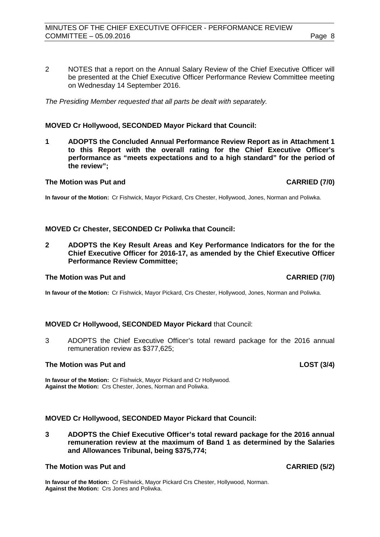2 NOTES that a report on the Annual Salary Review of the Chief Executive Officer will be presented at the Chief Executive Officer Performance Review Committee meeting on Wednesday 14 September 2016.

*The Presiding Member requested that all parts be dealt with separately.*

## **MOVED Cr Hollywood, SECONDED Mayor Pickard that Council:**

**1 ADOPTS the Concluded Annual Performance Review Report as in Attachment 1 to this Report with the overall rating for the Chief Executive Officer's performance as "meets expectations and to a high standard" for the period of the review";**

## **The Motion was Put and CARRIED (7/0)**

**In favour of the Motion:** Cr Fishwick, Mayor Pickard, Crs Chester, Hollywood, Jones, Norman and Poliwka.

## **MOVED Cr Chester, SECONDED Cr Poliwka that Council:**

**2 ADOPTS the Key Result Areas and Key Performance Indicators for the for the Chief Executive Officer for 2016-17, as amended by the Chief Executive Officer Performance Review Committee;**

## **The Motion was Put and CARRIED (7/0)**

**In favour of the Motion:** Cr Fishwick, Mayor Pickard, Crs Chester, Hollywood, Jones, Norman and Poliwka.

## **MOVED Cr Hollywood, SECONDED Mayor Pickard** that Council:

3 ADOPTS the Chief Executive Officer's total reward package for the 2016 annual remuneration review as \$377,625;

## **The Motion was Put and LOST (3/4)**

**In favour of the Motion:** Cr Fishwick, Mayor Pickard and Cr Hollywood. **Against the Motion:** Crs Chester, Jones, Norman and Poliwka.

## **MOVED Cr Hollywood, SECONDED Mayor Pickard that Council:**

**3 ADOPTS the Chief Executive Officer's total reward package for the 2016 annual remuneration review at the maximum of Band 1 as determined by the Salaries and Allowances Tribunal, being \$375,774;**

## **The Motion was Put and CARRIED (5/2)**

**In favour of the Motion:** Cr Fishwick, Mayor Pickard Crs Chester, Hollywood, Norman. **Against the Motion:** Crs Jones and Poliwka.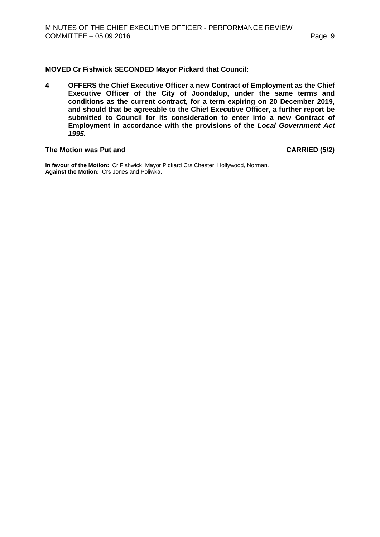**MOVED Cr Fishwick SECONDED Mayor Pickard that Council:**

**4 OFFERS the Chief Executive Officer a new Contract of Employment as the Chief Executive Officer of the City of Joondalup, under the same terms and conditions as the current contract, for a term expiring on 20 December 2019, and should that be agreeable to the Chief Executive Officer, a further report be submitted to Council for its consideration to enter into a new Contract of Employment in accordance with the provisions of the** *Local Government Act 1995.*

#### **The Motion was Put and CARRIED (5/2)**

<span id="page-8-0"></span>**In favour of the Motion:** Cr Fishwick, Mayor Pickard Crs Chester, Hollywood, Norman. **Against the Motion:** Crs Jones and Poliwka.